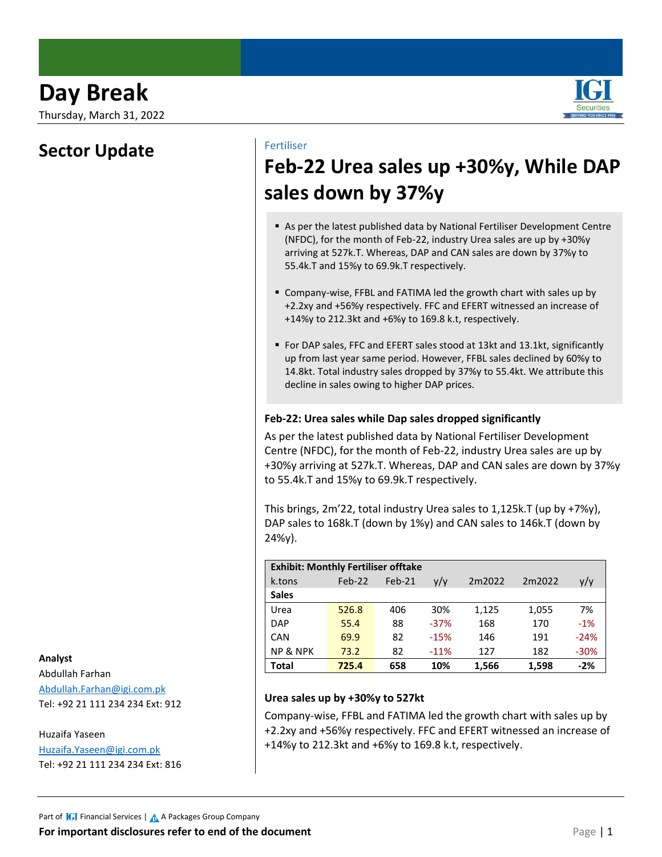Thursday, March 31, 2022

### **Sector Update**

Fertiliser

# **Feb-22 Urea sales up +30%y, While DAP sales down by 37%y**

- As per the latest published data by National Fertiliser Development Centre (NFDC), for the month of Feb-22, industry Urea sales are up by +30%y arriving at 527k.T. Whereas, DAP and CAN sales are down by 37%y to 55.4k.T and 15%y to 69.9k.T respectively.
- Company-wise, FFBL and FATIMA led the growth chart with sales up by +2.2xy and +56%y respectively. FFC and EFERT witnessed an increase of +14%y to 212.3kt and +6%y to 169.8 k.t, respectively.
- For DAP sales, FFC and EFERT sales stood at 13kt and 13.1kt, significantly up from last year same period. However, FFBL sales declined by 60%y to 14.8kt. Total industry sales dropped by 37%y to 55.4kt. We attribute this decline in sales owing to higher DAP prices.

### **Feb-22: Urea sales while Dap sales dropped significantly**

As per the latest published data by National Fertiliser Development Centre (NFDC), for the month of Feb-22, industry Urea sales are up by +30%y arriving at 527k.T. Whereas, DAP and CAN sales are down by 37%y to 55.4k.T and 15%y to 69.9k.T respectively.

This brings, 2m'22, total industry Urea sales to 1,125k.T (up by +7%y), DAP sales to 168k.T (down by 1%y) and CAN sales to 146k.T (down by 24%y).

| <b>Exhibit: Monthly Fertiliser offtake</b> |          |        |        |        |        |        |
|--------------------------------------------|----------|--------|--------|--------|--------|--------|
| k.tons                                     | $Feb-22$ | Feb-21 | y/y    | 2m2022 | 2m2022 | y/y    |
| <b>Sales</b>                               |          |        |        |        |        |        |
| Urea                                       | 526.8    | 406    | 30%    | 1,125  | 1,055  | 7%     |
| <b>DAP</b>                                 | 55.4     | 88     | $-37%$ | 168    | 170    | $-1%$  |
| CAN                                        | 69.9     | 82     | $-15%$ | 146    | 191    | $-24%$ |
| <b>NP &amp; NPK</b>                        | 73.2     | 82     | $-11%$ | 127    | 182    | $-30%$ |
| <b>Total</b>                               | 725.4    | 658    | 10%    | 1,566  | 1,598  | $-2%$  |

### **Urea sales up by +30%y to 527kt**

Company-wise, FFBL and FATIMA led the growth chart with sales up by +2.2xy and +56%y respectively. FFC and EFERT witnessed an increase of +14%y to 212.3kt and +6%y to 169.8 k.t, respectively.

### **Analyst**

Abdullah Farhan [Abdullah.Farhan@igi.com.pk](mailto:Abdullah.Farhan@igi.com.pk) Tel: +92 21 111 234 234 Ext: 912

### Huzaifa Yaseen

[Huzaifa.Yaseen@igi.com.pk](mailto:Aariz.Raza@igi.com.pk) Tel: +92 21 111 234 234 Ext: 816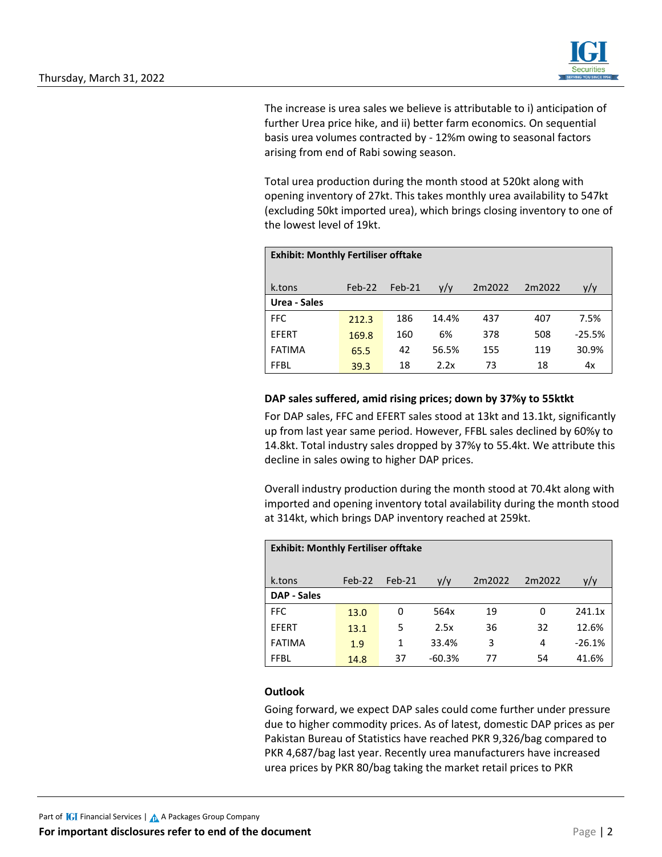

The increase is urea sales we believe is attributable to i) anticipation of further Urea price hike, and ii) better farm economics. On sequential basis urea volumes contracted by - 12%m owing to seasonal factors arising from end of Rabi sowing season.

Total urea production during the month stood at 520kt along with opening inventory of 27kt. This takes monthly urea availability to 547kt (excluding 50kt imported urea), which brings closing inventory to one of the lowest level of 19kt.

| <b>Exhibit: Monthly Fertiliser offtake</b> |          |        |       |        |        |          |
|--------------------------------------------|----------|--------|-------|--------|--------|----------|
| k.tons                                     | $Feb-22$ | Feb-21 | y/y   | 2m2022 | 2m2022 | y/y      |
| Urea - Sales                               |          |        |       |        |        |          |
| FFC                                        | 212.3    | 186    | 14.4% | 437    | 407    | 7.5%     |
| EFERT                                      | 169.8    | 160    | 6%    | 378    | 508    | $-25.5%$ |
| <b>FATIMA</b>                              | 65.5     | 42     | 56.5% | 155    | 119    | 30.9%    |
| <b>FFBL</b>                                | 39.3     | 18     | 2.2x  | 73     | 18     | 4x       |

### **DAP sales suffered, amid rising prices; down by 37%y to 55ktkt**

For DAP sales, FFC and EFERT sales stood at 13kt and 13.1kt, significantly up from last year same period. However, FFBL sales declined by 60%y to 14.8kt. Total industry sales dropped by 37%y to 55.4kt. We attribute this decline in sales owing to higher DAP prices.

Overall industry production during the month stood at 70.4kt along with imported and opening inventory total availability during the month stood at 314kt, which brings DAP inventory reached at 259kt.

| <b>Exhibit: Monthly Fertiliser offtake</b> |          |        |          |        |        |          |
|--------------------------------------------|----------|--------|----------|--------|--------|----------|
| k.tons                                     | $Feb-22$ | Feb-21 | V/V      | 2m2022 | 2m2022 | y/y      |
| <b>DAP - Sales</b>                         |          |        |          |        |        |          |
| <b>FFC</b>                                 | 13.0     | 0      | 564x     | 19     | 0      | 241.1x   |
| <b>EFERT</b>                               | 13.1     | 5      | 2.5x     | 36     | 32     | 12.6%    |
| <b>FATIMA</b>                              | 1.9      | 1      | 33.4%    | 3      | 4      | $-26.1%$ |
| <b>FFBL</b>                                | 14.8     | 37     | $-60.3%$ | 77     | 54     | 41.6%    |

### **Outlook**

Going forward, we expect DAP sales could come further under pressure due to higher commodity prices. As of latest, domestic DAP prices as per Pakistan Bureau of Statistics have reached PKR 9,326/bag compared to PKR 4,687/bag last year. Recently urea manufacturers have increased urea prices by PKR 80/bag taking the market retail prices to PKR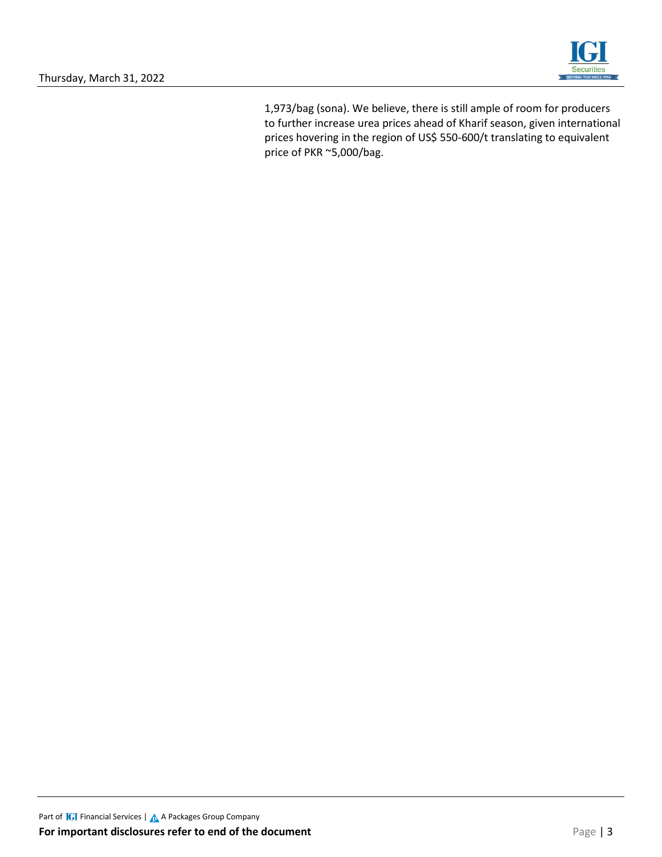

1,973/bag (sona). We believe, there is still ample of room for producers to further increase urea prices ahead of Kharif season, given international prices hovering in the region of US\$ 550-600/t translating to equivalent price of PKR ~5,000/bag.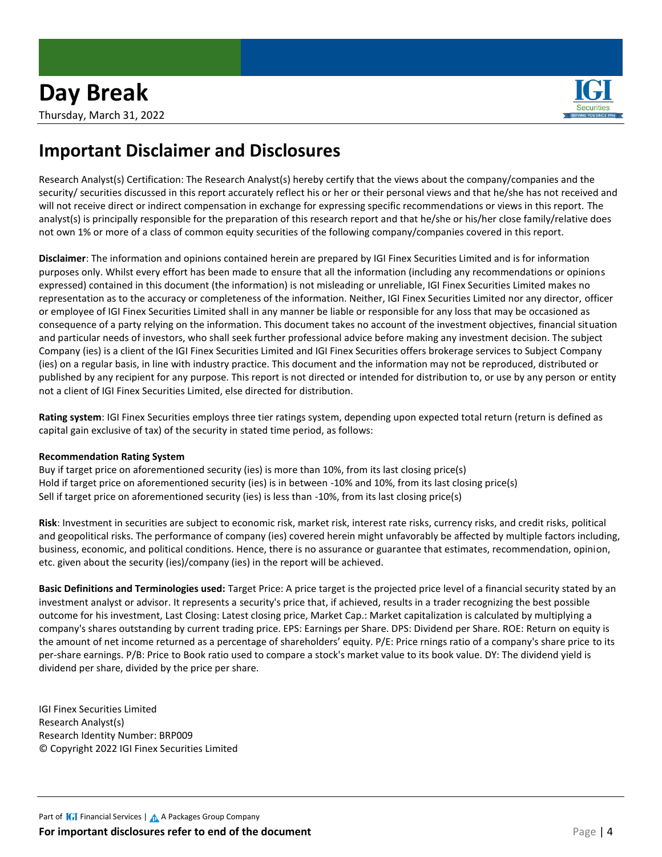

### **Important Disclaimer and Disclosures**

Research Analyst(s) Certification: The Research Analyst(s) hereby certify that the views about the company/companies and the security/ securities discussed in this report accurately reflect his or her or their personal views and that he/she has not received and will not receive direct or indirect compensation in exchange for expressing specific recommendations or views in this report. The analyst(s) is principally responsible for the preparation of this research report and that he/she or his/her close family/relative does not own 1% or more of a class of common equity securities of the following company/companies covered in this report.

**Disclaimer**: The information and opinions contained herein are prepared by IGI Finex Securities Limited and is for information purposes only. Whilst every effort has been made to ensure that all the information (including any recommendations or opinions expressed) contained in this document (the information) is not misleading or unreliable, IGI Finex Securities Limited makes no representation as to the accuracy or completeness of the information. Neither, IGI Finex Securities Limited nor any director, officer or employee of IGI Finex Securities Limited shall in any manner be liable or responsible for any loss that may be occasioned as consequence of a party relying on the information. This document takes no account of the investment objectives, financial situation and particular needs of investors, who shall seek further professional advice before making any investment decision. The subject Company (ies) is a client of the IGI Finex Securities Limited and IGI Finex Securities offers brokerage services to Subject Company (ies) on a regular basis, in line with industry practice. This document and the information may not be reproduced, distributed or published by any recipient for any purpose. This report is not directed or intended for distribution to, or use by any person or entity not a client of IGI Finex Securities Limited, else directed for distribution.

**Rating system**: IGI Finex Securities employs three tier ratings system, depending upon expected total return (return is defined as capital gain exclusive of tax) of the security in stated time period, as follows:

### **Recommendation Rating System**

Buy if target price on aforementioned security (ies) is more than 10%, from its last closing price(s) Hold if target price on aforementioned security (ies) is in between -10% and 10%, from its last closing price(s) Sell if target price on aforementioned security (ies) is less than -10%, from its last closing price(s)

**Risk**: Investment in securities are subject to economic risk, market risk, interest rate risks, currency risks, and credit risks, political and geopolitical risks. The performance of company (ies) covered herein might unfavorably be affected by multiple factors including, business, economic, and political conditions. Hence, there is no assurance or guarantee that estimates, recommendation, opinion, etc. given about the security (ies)/company (ies) in the report will be achieved.

**Basic Definitions and Terminologies used:** Target Price: A price target is the projected price level of a financial security stated by an investment analyst or advisor. It represents a security's price that, if achieved, results in a trader recognizing the best possible outcome for his investment, Last Closing: Latest closing price, Market Cap.: Market capitalization is calculated by multiplying a company's shares outstanding by current trading price. EPS: Earnings per Share. DPS: Dividend per Share. ROE: Return on equity is the amount of net income returned as a percentage of shareholders' equity. P/E: Price rnings ratio of a company's share price to its per-share earnings. P/B: Price to Book ratio used to compare a stock's market value to its book value. DY: The dividend yield is dividend per share, divided by the price per share.

IGI Finex Securities Limited Research Analyst(s) Research Identity Number: BRP009 © Copyright 2022 IGI Finex Securities Limited